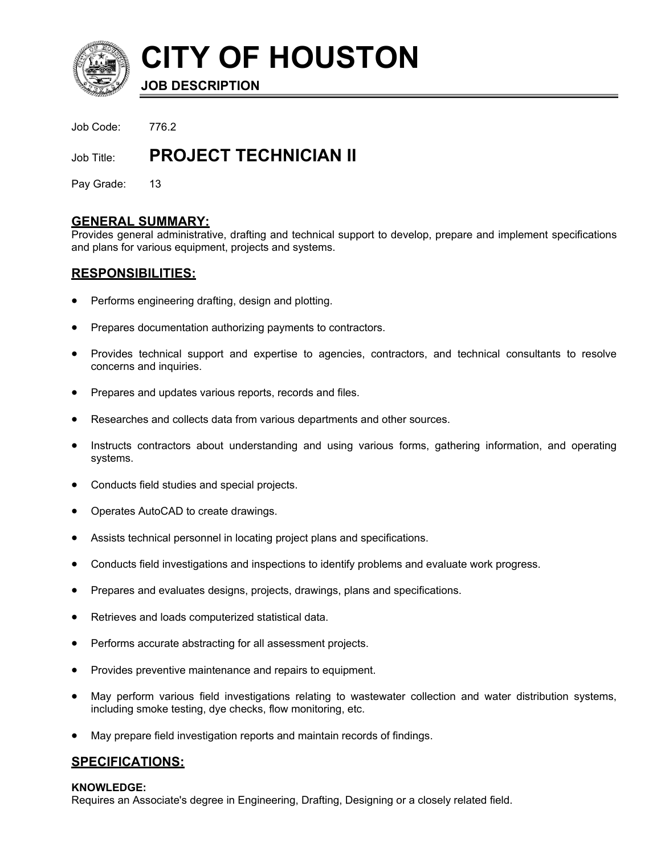

**CITY OF HOUSTON**

**JOB DESCRIPTION**

Job Code: 776.2

Job Title: **PROJECT TECHNICIAN II**

Pay Grade: 13

# **GENERAL SUMMARY:**

Provides general administrative, drafting and technical support to develop, prepare and implement specifications and plans for various equipment, projects and systems.

# **RESPONSIBILITIES:**

- Performs engineering drafting, design and plotting.
- Prepares documentation authorizing payments to contractors.
- Provides technical support and expertise to agencies, contractors, and technical consultants to resolve concerns and inquiries.
- Prepares and updates various reports, records and files.
- Researches and collects data from various departments and other sources.
- Instructs contractors about understanding and using various forms, gathering information, and operating systems.
- Conducts field studies and special projects.
- Operates AutoCAD to create drawings.
- Assists technical personnel in locating project plans and specifications.
- Conducts field investigations and inspections to identify problems and evaluate work progress.
- Prepares and evaluates designs, projects, drawings, plans and specifications.
- Retrieves and loads computerized statistical data.
- Performs accurate abstracting for all assessment projects.
- Provides preventive maintenance and repairs to equipment.
- May perform various field investigations relating to wastewater collection and water distribution systems, including smoke testing, dye checks, flow monitoring, etc.
- May prepare field investigation reports and maintain records of findings.

# **SPECIFICATIONS:**

### **KNOWLEDGE:**

Requires an Associate's degree in Engineering, Drafting, Designing or a closely related field.